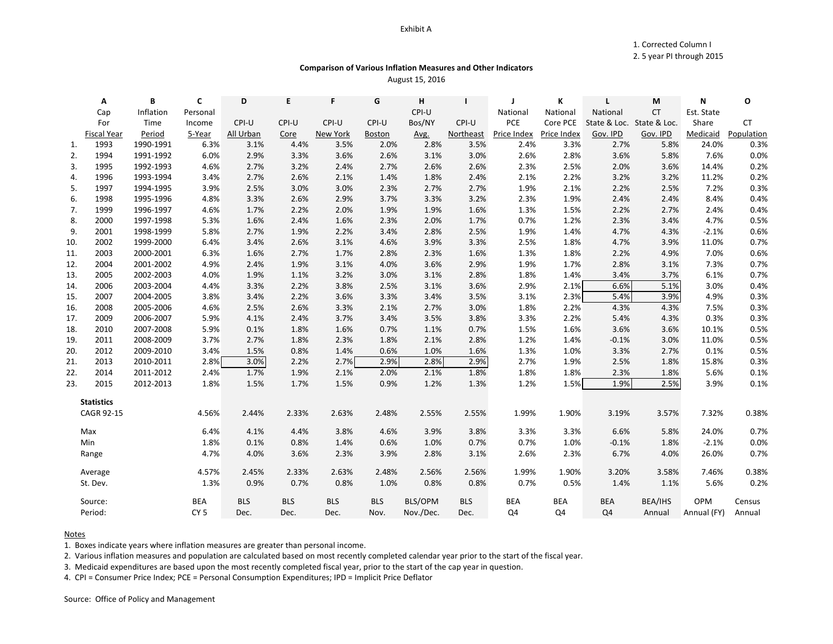### Exhibit A

1. Corrected Column I

2. 5 year PI through 2015

# **Comparison of Various Inflation Measures and Other Indicators**

August 15, 2016

|     | Α                  | В         | C               | D          | E          | F          | G             | н         | ı          | J           | K           | L                         | М         | N           | O          |
|-----|--------------------|-----------|-----------------|------------|------------|------------|---------------|-----------|------------|-------------|-------------|---------------------------|-----------|-------------|------------|
|     | Cap                | Inflation | Personal        |            |            |            |               | CPI-U     |            | National    | National    | National                  | <b>CT</b> | Est. State  |            |
|     | For                | Time      | Income          | CPI-U      | CPI-U      | CPI-U      | CPI-U         | Bos/NY    | CPI-U      | PCE         | Core PCE    | State & Loc. State & Loc. |           | Share       | <b>CT</b>  |
|     | <b>Fiscal Year</b> | Period    | 5-Year          | All Urban  | Core       | New York   | <b>Boston</b> | Avg.      | Northeast  | Price Index | Price Index | Gov. IPD                  | Gov. IPD  | Medicaid    | Population |
| 1.  | 1993               | 1990-1991 | 6.3%            | 3.1%       | 4.4%       | 3.5%       | 2.0%          | 2.8%      | 3.5%       | 2.4%        | 3.3%        | 2.7%                      | 5.8%      | 24.0%       | 0.3%       |
| 2.  | 1994               | 1991-1992 | 6.0%            | 2.9%       | 3.3%       | 3.6%       | 2.6%          | 3.1%      | 3.0%       | 2.6%        | 2.8%        | 3.6%                      | 5.8%      | 7.6%        | 0.0%       |
| 3.  | 1995               | 1992-1993 | 4.6%            | 2.7%       | 3.2%       | 2.4%       | 2.7%          | 2.6%      | 2.6%       | 2.3%        | 2.5%        | 2.0%                      | 3.6%      | 14.4%       | 0.2%       |
| 4.  | 1996               | 1993-1994 | 3.4%            | 2.7%       | 2.6%       | 2.1%       | 1.4%          | 1.8%      | 2.4%       | 2.1%        | 2.2%        | 3.2%                      | 3.2%      | 11.2%       | 0.2%       |
| 5.  | 1997               | 1994-1995 | 3.9%            | 2.5%       | 3.0%       | 3.0%       | 2.3%          | 2.7%      | 2.7%       | 1.9%        | 2.1%        | 2.2%                      | 2.5%      | 7.2%        | 0.3%       |
| 6.  | 1998               | 1995-1996 | 4.8%            | 3.3%       | 2.6%       | 2.9%       | 3.7%          | 3.3%      | 3.2%       | 2.3%        | 1.9%        | 2.4%                      | 2.4%      | 8.4%        | 0.4%       |
| 7.  | 1999               | 1996-1997 | 4.6%            | 1.7%       | 2.2%       | 2.0%       | 1.9%          | 1.9%      | 1.6%       | 1.3%        | 1.5%        | 2.2%                      | 2.7%      | 2.4%        | 0.4%       |
| 8.  | 2000               | 1997-1998 | 5.3%            | 1.6%       | 2.4%       | 1.6%       | 2.3%          | 2.0%      | 1.7%       | 0.7%        | 1.2%        | 2.3%                      | 3.4%      | 4.7%        | 0.5%       |
| 9.  | 2001               | 1998-1999 | 5.8%            | 2.7%       | 1.9%       | 2.2%       | 3.4%          | 2.8%      | 2.5%       | 1.9%        | 1.4%        | 4.7%                      | 4.3%      | $-2.1%$     | 0.6%       |
| 10. | 2002               | 1999-2000 | 6.4%            | 3.4%       | 2.6%       | 3.1%       | 4.6%          | 3.9%      | 3.3%       | 2.5%        | 1.8%        | 4.7%                      | 3.9%      | 11.0%       | 0.7%       |
| 11. | 2003               | 2000-2001 | 6.3%            | 1.6%       | 2.7%       | 1.7%       | 2.8%          | 2.3%      | 1.6%       | 1.3%        | 1.8%        | 2.2%                      | 4.9%      | 7.0%        | 0.6%       |
| 12. | 2004               | 2001-2002 | 4.9%            | 2.4%       | 1.9%       | 3.1%       | 4.0%          | 3.6%      | 2.9%       | 1.9%        | 1.7%        | 2.8%                      | 3.1%      | 7.3%        | 0.7%       |
| 13. | 2005               | 2002-2003 | 4.0%            | 1.9%       | 1.1%       | 3.2%       | 3.0%          | 3.1%      | 2.8%       | 1.8%        | 1.4%        | 3.4%                      | 3.7%      | 6.1%        | 0.7%       |
| 14. | 2006               | 2003-2004 | 4.4%            | 3.3%       | 2.2%       | 3.8%       | 2.5%          | 3.1%      | 3.6%       | 2.9%        | 2.1%        | 6.6%                      | 5.1%      | 3.0%        | 0.4%       |
| 15. | 2007               | 2004-2005 | 3.8%            | 3.4%       | 2.2%       | 3.6%       | 3.3%          | 3.4%      | 3.5%       | 3.1%        | 2.3%        | 5.4%                      | 3.9%      | 4.9%        | 0.3%       |
| 16. | 2008               | 2005-2006 | 4.6%            | 2.5%       | 2.6%       | 3.3%       | 2.1%          | 2.7%      | 3.0%       | 1.8%        | 2.2%        | 4.3%                      | 4.3%      | 7.5%        | 0.3%       |
| 17. | 2009               | 2006-2007 | 5.9%            | 4.1%       | 2.4%       | 3.7%       | 3.4%          | 3.5%      | 3.8%       | 3.3%        | 2.2%        | 5.4%                      | 4.3%      | 0.3%        | 0.3%       |
| 18. | 2010               | 2007-2008 | 5.9%            | 0.1%       | 1.8%       | 1.6%       | 0.7%          | 1.1%      | 0.7%       | 1.5%        | 1.6%        | 3.6%                      | 3.6%      | 10.1%       | 0.5%       |
| 19. | 2011               | 2008-2009 | 3.7%            | 2.7%       | 1.8%       | 2.3%       | 1.8%          | 2.1%      | 2.8%       | 1.2%        | 1.4%        | $-0.1%$                   | 3.0%      | 11.0%       | 0.5%       |
| 20. | 2012               | 2009-2010 | 3.4%            | 1.5%       | 0.8%       | 1.4%       | 0.6%          | 1.0%      | 1.6%       | 1.3%        | 1.0%        | 3.3%                      | 2.7%      | 0.1%        | 0.5%       |
| 21. | 2013               | 2010-2011 | 2.8%            | 3.0%       | 2.2%       | 2.7%       | 2.9%          | 2.8%      | 2.9%       | 2.7%        | 1.9%        | 2.5%                      | 1.8%      | 15.8%       | 0.3%       |
| 22. | 2014               | 2011-2012 | 2.4%            | 1.7%       | 1.9%       | 2.1%       | 2.0%          | 2.1%      | 1.8%       | 1.8%        | 1.8%        | 2.3%                      | 1.8%      | 5.6%        | 0.1%       |
| 23. | 2015               | 2012-2013 | 1.8%            | 1.5%       | 1.7%       | 1.5%       | 0.9%          | 1.2%      | 1.3%       | 1.2%        | 1.5%        | 1.9%                      | 2.5%      | 3.9%        | 0.1%       |
|     |                    |           |                 |            |            |            |               |           |            |             |             |                           |           |             |            |
|     | <b>Statistics</b>  |           |                 |            |            |            |               |           |            |             |             |                           |           |             |            |
|     | <b>CAGR 92-15</b>  |           | 4.56%           | 2.44%      | 2.33%      | 2.63%      | 2.48%         | 2.55%     | 2.55%      | 1.99%       | 1.90%       | 3.19%                     | 3.57%     | 7.32%       | 0.38%      |
|     | Max                |           | 6.4%            | 4.1%       | 4.4%       | 3.8%       | 4.6%          | 3.9%      | 3.8%       | 3.3%        | 3.3%        | 6.6%                      | 5.8%      | 24.0%       | 0.7%       |
|     | Min                |           | 1.8%            | 0.1%       | 0.8%       | 1.4%       | 0.6%          | 1.0%      | 0.7%       | 0.7%        | 1.0%        | $-0.1%$                   | 1.8%      | $-2.1%$     | 0.0%       |
|     | Range              |           | 4.7%            | 4.0%       | 3.6%       | 2.3%       | 3.9%          | 2.8%      | 3.1%       | 2.6%        | 2.3%        | 6.7%                      | 4.0%      | 26.0%       | 0.7%       |
|     |                    |           |                 |            |            |            |               |           |            |             |             |                           |           |             |            |
|     | Average            |           | 4.57%           | 2.45%      | 2.33%      | 2.63%      | 2.48%         | 2.56%     | 2.56%      | 1.99%       | 1.90%       | 3.20%                     | 3.58%     | 7.46%       | 0.38%      |
|     | St. Dev.           |           | 1.3%            | 0.9%       | 0.7%       | 0.8%       | 1.0%          | 0.8%      | 0.8%       | 0.7%        | 0.5%        | 1.4%                      | 1.1%      | 5.6%        | 0.2%       |
|     | Source:            |           | <b>BEA</b>      | <b>BLS</b> | <b>BLS</b> | <b>BLS</b> | <b>BLS</b>    | BLS/OPM   | <b>BLS</b> | <b>BEA</b>  | <b>BEA</b>  | <b>BEA</b>                | BEA/IHS   | OPM         | Census     |
|     | Period:            |           | CY <sub>5</sub> | Dec.       | Dec.       | Dec.       | Nov.          | Nov./Dec. | Dec.       | Q4          | Q4          | Q <sub>4</sub>            | Annual    | Annual (FY) | Annual     |

## Notes

1. Boxes indicate years where inflation measures are greater than personal income.

2. Various inflation measures and population are calculated based on most recently completed calendar year prior to the start of the fiscal year.

3. Medicaid expenditures are based upon the most recently completed fiscal year, prior to the start of the cap year in question.

4. CPI = Consumer Price Index; PCE = Personal Consumption Expenditures; IPD = Implicit Price Deflator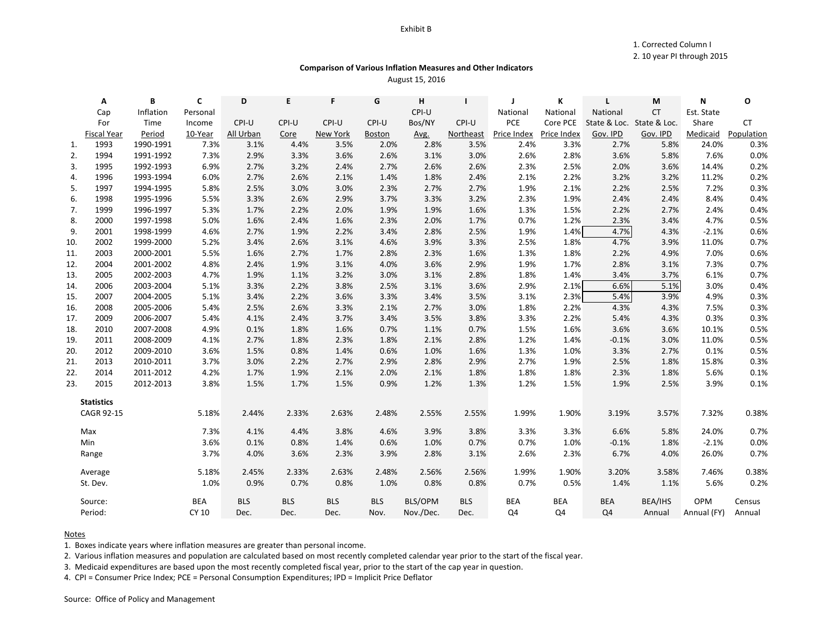## Exhibit B

1. Corrected Column I

2. 10 year PI through 2015

# **Comparison of Various Inflation Measures and Other Indicators**

August 15, 2016

|     | Α                  | В         | C          | D          | E          | F          | G             | н         |                  | J           | K           | L                         | М         | N           | O          |
|-----|--------------------|-----------|------------|------------|------------|------------|---------------|-----------|------------------|-------------|-------------|---------------------------|-----------|-------------|------------|
|     | Cap                | Inflation | Personal   |            |            |            |               | CPI-U     |                  | National    | National    | National                  | <b>CT</b> | Est. State  |            |
|     | For                | Time      | Income     | CPI-U      | CPI-U      | CPI-U      | CPI-U         | Bos/NY    | CPI-U            | PCE         | Core PCE    | State & Loc. State & Loc. |           | Share       | <b>CT</b>  |
|     | <b>Fiscal Year</b> | Period    | 10-Year    | All Urban  | Core       | New York   | <b>Boston</b> | Avg.      | <b>Northeast</b> | Price Index | Price Index | Gov. IPD                  | Gov. IPD  | Medicaid    | Population |
| 1.  | 1993               | 1990-1991 | 7.3%       | 3.1%       | 4.4%       | 3.5%       | 2.0%          | 2.8%      | 3.5%             | 2.4%        | 3.3%        | 2.7%                      | 5.8%      | 24.0%       | 0.3%       |
| 2.  | 1994               | 1991-1992 | 7.3%       | 2.9%       | 3.3%       | 3.6%       | 2.6%          | 3.1%      | 3.0%             | 2.6%        | 2.8%        | 3.6%                      | 5.8%      | 7.6%        | 0.0%       |
| 3.  | 1995               | 1992-1993 | 6.9%       | 2.7%       | 3.2%       | 2.4%       | 2.7%          | 2.6%      | 2.6%             | 2.3%        | 2.5%        | 2.0%                      | 3.6%      | 14.4%       | 0.2%       |
| 4.  | 1996               | 1993-1994 | 6.0%       | 2.7%       | 2.6%       | 2.1%       | 1.4%          | 1.8%      | 2.4%             | 2.1%        | 2.2%        | 3.2%                      | 3.2%      | 11.2%       | 0.2%       |
| 5.  | 1997               | 1994-1995 | 5.8%       | 2.5%       | 3.0%       | 3.0%       | 2.3%          | 2.7%      | 2.7%             | 1.9%        | 2.1%        | 2.2%                      | 2.5%      | 7.2%        | 0.3%       |
| 6.  | 1998               | 1995-1996 | 5.5%       | 3.3%       | 2.6%       | 2.9%       | 3.7%          | 3.3%      | 3.2%             | 2.3%        | 1.9%        | 2.4%                      | 2.4%      | 8.4%        | 0.4%       |
| 7.  | 1999               | 1996-1997 | 5.3%       | 1.7%       | 2.2%       | 2.0%       | 1.9%          | 1.9%      | 1.6%             | 1.3%        | 1.5%        | 2.2%                      | 2.7%      | 2.4%        | 0.4%       |
| 8.  | 2000               | 1997-1998 | 5.0%       | 1.6%       | 2.4%       | 1.6%       | 2.3%          | 2.0%      | 1.7%             | 0.7%        | 1.2%        | 2.3%                      | 3.4%      | 4.7%        | 0.5%       |
| 9.  | 2001               | 1998-1999 | 4.6%       | 2.7%       | 1.9%       | 2.2%       | 3.4%          | 2.8%      | 2.5%             | 1.9%        | 1.4%        | 4.7%                      | 4.3%      | $-2.1%$     | 0.6%       |
| 10. | 2002               | 1999-2000 | 5.2%       | 3.4%       | 2.6%       | 3.1%       | 4.6%          | 3.9%      | 3.3%             | 2.5%        | 1.8%        | 4.7%                      | 3.9%      | 11.0%       | 0.7%       |
| 11. | 2003               | 2000-2001 | 5.5%       | 1.6%       | 2.7%       | 1.7%       | 2.8%          | 2.3%      | 1.6%             | 1.3%        | 1.8%        | 2.2%                      | 4.9%      | 7.0%        | 0.6%       |
| 12. | 2004               | 2001-2002 | 4.8%       | 2.4%       | 1.9%       | 3.1%       | 4.0%          | 3.6%      | 2.9%             | 1.9%        | 1.7%        | 2.8%                      | 3.1%      | 7.3%        | 0.7%       |
| 13. | 2005               | 2002-2003 | 4.7%       | 1.9%       | 1.1%       | 3.2%       | 3.0%          | 3.1%      | 2.8%             | 1.8%        | 1.4%        | 3.4%                      | 3.7%      | 6.1%        | 0.7%       |
| 14. | 2006               | 2003-2004 | 5.1%       | 3.3%       | 2.2%       | 3.8%       | 2.5%          | 3.1%      | 3.6%             | 2.9%        | 2.1%        | 6.6%                      | 5.1%      | 3.0%        | 0.4%       |
| 15. | 2007               | 2004-2005 | 5.1%       | 3.4%       | 2.2%       | 3.6%       | 3.3%          | 3.4%      | 3.5%             | 3.1%        | 2.3%        | 5.4%                      | 3.9%      | 4.9%        | 0.3%       |
| 16. | 2008               | 2005-2006 | 5.4%       | 2.5%       | 2.6%       | 3.3%       | 2.1%          | 2.7%      | 3.0%             | 1.8%        | 2.2%        | 4.3%                      | 4.3%      | 7.5%        | 0.3%       |
| 17. | 2009               | 2006-2007 | 5.4%       | 4.1%       | 2.4%       | 3.7%       | 3.4%          | 3.5%      | 3.8%             | 3.3%        | 2.2%        | 5.4%                      | 4.3%      | 0.3%        | 0.3%       |
| 18. | 2010               | 2007-2008 | 4.9%       | 0.1%       | 1.8%       | 1.6%       | 0.7%          | 1.1%      | 0.7%             | 1.5%        | 1.6%        | 3.6%                      | 3.6%      | 10.1%       | 0.5%       |
| 19. | 2011               | 2008-2009 | 4.1%       | 2.7%       | 1.8%       | 2.3%       | 1.8%          | 2.1%      | 2.8%             | 1.2%        | 1.4%        | $-0.1%$                   | 3.0%      | 11.0%       | 0.5%       |
| 20. | 2012               | 2009-2010 | 3.6%       | 1.5%       | 0.8%       | 1.4%       | 0.6%          | 1.0%      | 1.6%             | 1.3%        | 1.0%        | 3.3%                      | 2.7%      | 0.1%        | 0.5%       |
| 21. | 2013               | 2010-2011 | 3.7%       | 3.0%       | 2.2%       | 2.7%       | 2.9%          | 2.8%      | 2.9%             | 2.7%        | 1.9%        | 2.5%                      | 1.8%      | 15.8%       | 0.3%       |
| 22. | 2014               | 2011-2012 | 4.2%       | 1.7%       | 1.9%       | 2.1%       | 2.0%          | 2.1%      | 1.8%             | 1.8%        | 1.8%        | 2.3%                      | 1.8%      | 5.6%        | 0.1%       |
| 23. | 2015               | 2012-2013 | 3.8%       | 1.5%       | 1.7%       | 1.5%       | 0.9%          | 1.2%      | 1.3%             | 1.2%        | 1.5%        | 1.9%                      | 2.5%      | 3.9%        | 0.1%       |
|     | <b>Statistics</b>  |           |            |            |            |            |               |           |                  |             |             |                           |           |             |            |
|     | <b>CAGR 92-15</b>  |           | 5.18%      | 2.44%      | 2.33%      | 2.63%      | 2.48%         | 2.55%     | 2.55%            | 1.99%       | 1.90%       | 3.19%                     | 3.57%     | 7.32%       | 0.38%      |
|     | Max                |           | 7.3%       | 4.1%       | 4.4%       | 3.8%       | 4.6%          | 3.9%      | 3.8%             | 3.3%        | 3.3%        | 6.6%                      | 5.8%      | 24.0%       | 0.7%       |
|     | Min                |           | 3.6%       | 0.1%       | 0.8%       | 1.4%       | 0.6%          | 1.0%      | 0.7%             | 0.7%        | 1.0%        | $-0.1%$                   | 1.8%      | $-2.1%$     | 0.0%       |
|     | Range              |           | 3.7%       | 4.0%       | 3.6%       | 2.3%       | 3.9%          | 2.8%      | 3.1%             | 2.6%        | 2.3%        | 6.7%                      | 4.0%      | 26.0%       | 0.7%       |
|     | Average            |           | 5.18%      | 2.45%      | 2.33%      | 2.63%      | 2.48%         | 2.56%     | 2.56%            | 1.99%       | 1.90%       | 3.20%                     | 3.58%     | 7.46%       | 0.38%      |
|     | St. Dev.           |           | 1.0%       | 0.9%       | 0.7%       | 0.8%       | 1.0%          | 0.8%      | 0.8%             | 0.7%        | 0.5%        | 1.4%                      | 1.1%      | 5.6%        | 0.2%       |
|     | Source:            |           | <b>BEA</b> | <b>BLS</b> | <b>BLS</b> | <b>BLS</b> | <b>BLS</b>    | BLS/OPM   | <b>BLS</b>       | <b>BEA</b>  | <b>BEA</b>  | <b>BEA</b>                | BEA/IHS   | OPM         | Census     |
|     | Period:            |           | CY 10      | Dec.       | Dec.       | Dec.       | Nov.          | Nov./Dec. | Dec.             | Q4          | Q4          | Q <sub>4</sub>            | Annual    | Annual (FY) | Annual     |

## Notes

1. Boxes indicate years where inflation measures are greater than personal income.

2. Various inflation measures and population are calculated based on most recently completed calendar year prior to the start of the fiscal year.

3. Medicaid expenditures are based upon the most recently completed fiscal year, prior to the start of the cap year in question.

4. CPI = Consumer Price Index; PCE = Personal Consumption Expenditures; IPD = Implicit Price Deflator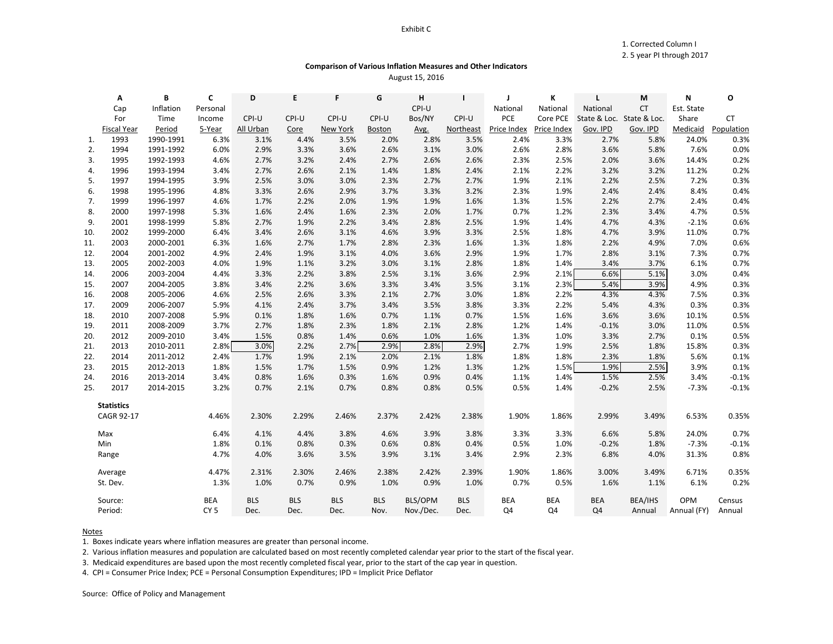### Exhibit C

1. Corrected Column I

# 2. 5 year PI through 2017

# **Comparison of Various Inflation Measures and Other Indicators** August 15, 2016

|     | Α                  | В         | C               | D          | E          | F          | G          | н         | $\mathbf{I}$ | J           | К           | L                         | M         | N           | О          |
|-----|--------------------|-----------|-----------------|------------|------------|------------|------------|-----------|--------------|-------------|-------------|---------------------------|-----------|-------------|------------|
|     | Cap                | Inflation | Personal        |            |            |            |            | CPI-U     |              | National    | National    | National                  | <b>CT</b> | Est. State  |            |
|     | For                | Time      | Income          | CPI-U      | CPI-U      | CPI-U      | CPI-U      | Bos/NY    | CPI-U        | PCE         | Core PCE    | State & Loc. State & Loc. |           | Share       | <b>CT</b>  |
|     | <b>Fiscal Year</b> | Period    | 5-Year          | All Urban  | Core       | New York   | Boston     | Avg.      | Northeast    | Price Index | Price Index | Gov. IPD                  | Gov. IPD  | Medicaid    | Population |
| 1.  | 1993               | 1990-1991 | 6.3%            | 3.1%       | 4.4%       | 3.5%       | 2.0%       | 2.8%      | 3.5%         | 2.4%        | 3.3%        | 2.7%                      | 5.8%      | 24.0%       | 0.3%       |
| 2.  | 1994               | 1991-1992 | 6.0%            | 2.9%       | 3.3%       | 3.6%       | 2.6%       | 3.1%      | 3.0%         | 2.6%        | 2.8%        | 3.6%                      | 5.8%      | 7.6%        | 0.0%       |
| 3.  | 1995               | 1992-1993 | 4.6%            | 2.7%       | 3.2%       | 2.4%       | 2.7%       | 2.6%      | 2.6%         | 2.3%        | 2.5%        | 2.0%                      | 3.6%      | 14.4%       | 0.2%       |
| 4.  | 1996               | 1993-1994 | 3.4%            | 2.7%       | 2.6%       | 2.1%       | 1.4%       | 1.8%      | 2.4%         | 2.1%        | 2.2%        | 3.2%                      | 3.2%      | 11.2%       | 0.2%       |
| 5.  | 1997               | 1994-1995 | 3.9%            | 2.5%       | 3.0%       | 3.0%       | 2.3%       | 2.7%      | 2.7%         | 1.9%        | 2.1%        | 2.2%                      | 2.5%      | 7.2%        | 0.3%       |
| 6.  | 1998               | 1995-1996 | 4.8%            | 3.3%       | 2.6%       | 2.9%       | 3.7%       | 3.3%      | 3.2%         | 2.3%        | 1.9%        | 2.4%                      | 2.4%      | 8.4%        | 0.4%       |
| 7.  | 1999               | 1996-1997 | 4.6%            | 1.7%       | 2.2%       | 2.0%       | 1.9%       | 1.9%      | 1.6%         | 1.3%        | 1.5%        | 2.2%                      | 2.7%      | 2.4%        | 0.4%       |
| 8.  | 2000               | 1997-1998 | 5.3%            | 1.6%       | 2.4%       | 1.6%       | 2.3%       | 2.0%      | 1.7%         | 0.7%        | 1.2%        | 2.3%                      | 3.4%      | 4.7%        | 0.5%       |
| 9.  | 2001               | 1998-1999 | 5.8%            | 2.7%       | 1.9%       | 2.2%       | 3.4%       | 2.8%      | 2.5%         | 1.9%        | 1.4%        | 4.7%                      | 4.3%      | $-2.1%$     | 0.6%       |
| 10. | 2002               | 1999-2000 | 6.4%            | 3.4%       | 2.6%       | 3.1%       | 4.6%       | 3.9%      | 3.3%         | 2.5%        | 1.8%        | 4.7%                      | 3.9%      | 11.0%       | 0.7%       |
| 11. | 2003               | 2000-2001 | 6.3%            | 1.6%       | 2.7%       | 1.7%       | 2.8%       | 2.3%      | 1.6%         | 1.3%        | 1.8%        | 2.2%                      | 4.9%      | 7.0%        | 0.6%       |
| 12. | 2004               | 2001-2002 | 4.9%            | 2.4%       | 1.9%       | 3.1%       | 4.0%       | 3.6%      | 2.9%         | 1.9%        | 1.7%        | 2.8%                      | 3.1%      | 7.3%        | 0.7%       |
| 13. | 2005               | 2002-2003 | 4.0%            | 1.9%       | 1.1%       | 3.2%       | 3.0%       | 3.1%      | 2.8%         | 1.8%        | 1.4%        | 3.4%                      | 3.7%      | 6.1%        | 0.7%       |
| 14. | 2006               | 2003-2004 | 4.4%            | 3.3%       | 2.2%       | 3.8%       | 2.5%       | 3.1%      | 3.6%         | 2.9%        | 2.1%        | 6.6%                      | 5.1%      | 3.0%        | 0.4%       |
| 15. | 2007               | 2004-2005 | 3.8%            | 3.4%       | 2.2%       | 3.6%       | 3.3%       | 3.4%      | 3.5%         | 3.1%        | 2.3%        | 5.4%                      | 3.9%      | 4.9%        | 0.3%       |
| 16. | 2008               | 2005-2006 | 4.6%            | 2.5%       | 2.6%       | 3.3%       | 2.1%       | 2.7%      | 3.0%         | 1.8%        | 2.2%        | 4.3%                      | 4.3%      | 7.5%        | 0.3%       |
| 17. | 2009               | 2006-2007 | 5.9%            | 4.1%       | 2.4%       | 3.7%       | 3.4%       | 3.5%      | 3.8%         | 3.3%        | 2.2%        | 5.4%                      | 4.3%      | 0.3%        | 0.3%       |
| 18. | 2010               | 2007-2008 | 5.9%            | 0.1%       | 1.8%       | 1.6%       | 0.7%       | 1.1%      | 0.7%         | 1.5%        | 1.6%        | 3.6%                      | 3.6%      | 10.1%       | 0.5%       |
| 19. | 2011               | 2008-2009 | 3.7%            | 2.7%       | 1.8%       | 2.3%       | 1.8%       | 2.1%      | 2.8%         | 1.2%        | 1.4%        | $-0.1%$                   | 3.0%      | 11.0%       | 0.5%       |
| 20. | 2012               | 2009-2010 | 3.4%            | 1.5%       | 0.8%       | 1.4%       | 0.6%       | 1.0%      | 1.6%         | 1.3%        | 1.0%        | 3.3%                      | 2.7%      | 0.1%        | 0.5%       |
| 21. | 2013               | 2010-2011 | 2.8%            | 3.0%       | 2.2%       | 2.7%       | 2.9%       | 2.8%      | 2.9%         | 2.7%        | 1.9%        | 2.5%                      | 1.8%      | 15.8%       | 0.3%       |
| 22. | 2014               | 2011-2012 | 2.4%            | 1.7%       | 1.9%       | 2.1%       | 2.0%       | 2.1%      | 1.8%         | 1.8%        | 1.8%        | 2.3%                      | 1.8%      | 5.6%        | 0.1%       |
| 23. | 2015               | 2012-2013 | 1.8%            | 1.5%       | 1.7%       | 1.5%       | 0.9%       | 1.2%      | 1.3%         | 1.2%        | 1.5%        | 1.9%                      | 2.5%      | 3.9%        | 0.1%       |
| 24. | 2016               | 2013-2014 | 3.4%            | 0.8%       | 1.6%       | 0.3%       | 1.6%       | 0.9%      | 0.4%         | 1.1%        | 1.4%        | 1.5%                      | 2.5%      | 3.4%        | $-0.1%$    |
| 25. | 2017               | 2014-2015 | 3.2%            | 0.7%       | 2.1%       | 0.7%       | 0.8%       | 0.8%      | 0.5%         | 0.5%        | 1.4%        | $-0.2%$                   | 2.5%      | $-7.3%$     | $-0.1%$    |
|     | <b>Statistics</b>  |           |                 |            |            |            |            |           |              |             |             |                           |           |             |            |
|     | CAGR 92-17         |           | 4.46%           | 2.30%      | 2.29%      | 2.46%      | 2.37%      | 2.42%     | 2.38%        | 1.90%       | 1.86%       | 2.99%                     | 3.49%     | 6.53%       | 0.35%      |
|     |                    |           |                 |            |            |            |            |           |              |             |             |                           |           |             |            |
|     | Max                |           | 6.4%            | 4.1%       | 4.4%       | 3.8%       | 4.6%       | 3.9%      | 3.8%         | 3.3%        | 3.3%        | 6.6%                      | 5.8%      | 24.0%       | 0.7%       |
|     | Min                |           | 1.8%            | 0.1%       | 0.8%       | 0.3%       | 0.6%       | 0.8%      | 0.4%         | 0.5%        | 1.0%        | $-0.2%$                   | 1.8%      | $-7.3%$     | $-0.1%$    |
|     | Range              |           | 4.7%            | 4.0%       | 3.6%       | 3.5%       | 3.9%       | 3.1%      | 3.4%         | 2.9%        | 2.3%        | 6.8%                      | 4.0%      | 31.3%       | 0.8%       |
|     | Average            |           | 4.47%           | 2.31%      | 2.30%      | 2.46%      | 2.38%      | 2.42%     | 2.39%        | 1.90%       | 1.86%       | 3.00%                     | 3.49%     | 6.71%       | 0.35%      |
|     | St. Dev.           |           | 1.3%            | 1.0%       | 0.7%       | 0.9%       | 1.0%       | 0.9%      | 1.0%         | 0.7%        | 0.5%        | 1.6%                      | 1.1%      | 6.1%        | 0.2%       |
|     | Source:            |           | <b>BEA</b>      | <b>BLS</b> | <b>BLS</b> | <b>BLS</b> | <b>BLS</b> | BLS/OPM   | <b>BLS</b>   | <b>BEA</b>  | <b>BEA</b>  | <b>BEA</b>                | BEA/IHS   | OPM         | Census     |
|     | Period:            |           | CY <sub>5</sub> | Dec.       | Dec.       | Dec.       | Nov.       | Nov./Dec. | Dec.         | Q4          | Q4          | Q <sub>4</sub>            | Annual    | Annual (FY) | Annual     |

### Notes

1. Boxes indicate years where inflation measures are greater than personal income.

2. Various inflation measures and population are calculated based on most recently completed calendar year prior to the start of the fiscal year.

3. Medicaid expenditures are based upon the most recently completed fiscal year, prior to the start of the cap year in question.

4. CPI = Consumer Price Index; PCE = Personal Consumption Expenditures; IPD = Implicit Price Deflator